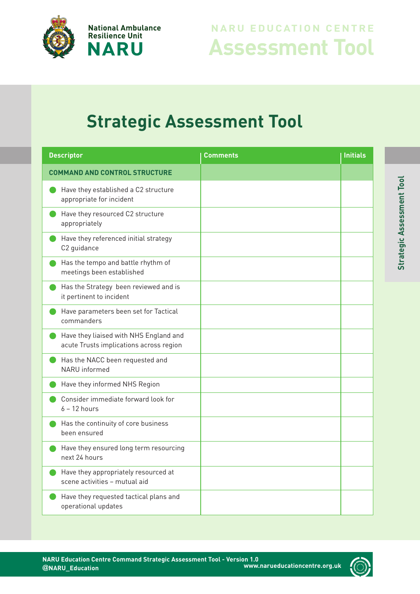

## **Assessment Tool NARU EDUCATION CENTRE**

## **Strategic Assessment Tool**

| <b>Descriptor</b>                                                                 | Comments | <b>Initials</b> |
|-----------------------------------------------------------------------------------|----------|-----------------|
| <b>COMMAND AND CONTROL STRUCTURE</b>                                              |          |                 |
| Have they established a C2 structure<br>appropriate for incident                  |          |                 |
| Have they resourced C2 structure<br>appropriately                                 |          |                 |
| Have they referenced initial strategy<br>C2 guidance                              |          |                 |
| Has the tempo and battle rhythm of<br>meetings been established                   |          |                 |
| Has the Strategy been reviewed and is<br>it pertinent to incident                 |          |                 |
| Have parameters been set for Tactical<br>commanders                               |          |                 |
| Have they liaised with NHS England and<br>acute Trusts implications across region |          |                 |
| Has the NACC been requested and<br>NARU informed                                  |          |                 |
| Have they informed NHS Region                                                     |          |                 |
| Consider immediate forward look for<br>$6 - 12$ hours                             |          |                 |
| Has the continuity of core business<br>been ensured                               |          |                 |
| Have they ensured long term resourcing<br>next 24 hours                           |          |                 |
| Have they appropriately resourced at<br>scene activities - mutual aid             |          |                 |
| Have they requested tactical plans and<br>operational updates                     |          |                 |